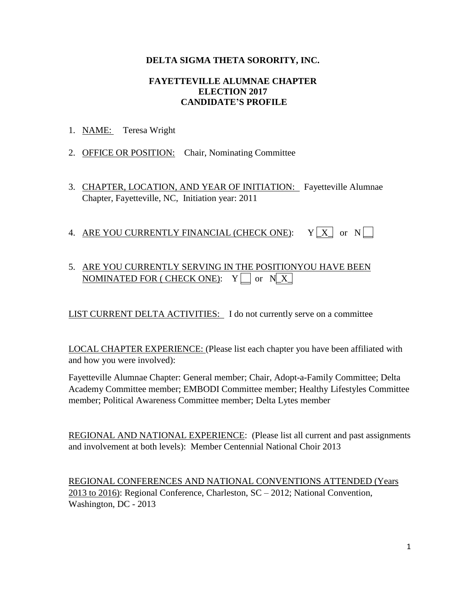## **DELTA SIGMA THETA SORORITY, INC.**

#### **FAYETTEVILLE ALUMNAE CHAPTER ELECTION 2017 CANDIDATE'S PROFILE**

- 1. NAME: Teresa Wright
- 2. OFFICE OR POSITION: Chair, Nominating Committee
- 3. CHAPTER, LOCATION, AND YEAR OF INITIATION: Fayetteville Alumnae Chapter, Fayetteville, NC, Initiation year: 2011
- 4. ARE YOU CURRENTLY FINANCIAL (CHECK ONE):  $Y[X]$  or  $N$

# 5. ARE YOU CURRENTLY SERVING IN THE POSITIONYOU HAVE BEEN NOMINATED FOR ( CHECK ONE):  $Y \Box$  or  $N[X]$

LIST CURRENT DELTA ACTIVITIES: I do not currently serve on a committee

LOCAL CHAPTER EXPERIENCE: (Please list each chapter you have been affiliated with and how you were involved):

Fayetteville Alumnae Chapter: General member; Chair, Adopt-a-Family Committee; Delta Academy Committee member; EMBODI Committee member; Healthy Lifestyles Committee member; Political Awareness Committee member; Delta Lytes member

REGIONAL AND NATIONAL EXPERIENCE: (Please list all current and past assignments and involvement at both levels): Member Centennial National Choir 2013

REGIONAL CONFERENCES AND NATIONAL CONVENTIONS ATTENDED (Years 2013 to 2016): Regional Conference, Charleston, SC – 2012; National Convention, Washington, DC - 2013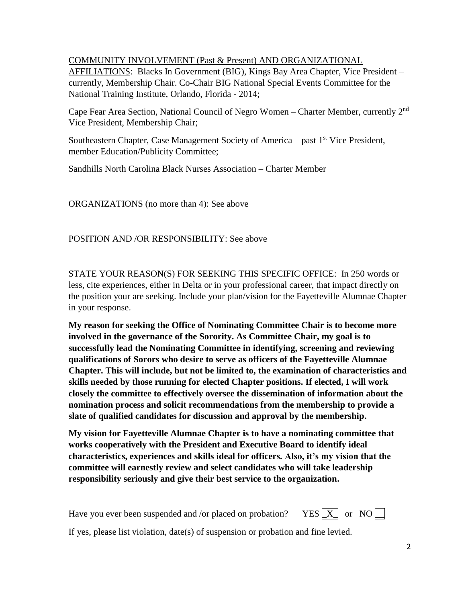## COMMUNITY INVOLVEMENT (Past & Present) AND ORGANIZATIONAL

AFFILIATIONS: Blacks In Government (BIG), Kings Bay Area Chapter, Vice President – currently, Membership Chair. Co-Chair BIG National Special Events Committee for the National Training Institute, Orlando, Florida - 2014;

Cape Fear Area Section, National Council of Negro Women - Charter Member, currently 2<sup>nd</sup> Vice President, Membership Chair;

Southeastern Chapter, Case Management Society of America – past  $1<sup>st</sup>$  Vice President, member Education/Publicity Committee;

Sandhills North Carolina Black Nurses Association – Charter Member

ORGANIZATIONS (no more than 4): See above

## POSITION AND /OR RESPONSIBILITY: See above

STATE YOUR REASON(S) FOR SEEKING THIS SPECIFIC OFFICE: In 250 words or less, cite experiences, either in Delta or in your professional career, that impact directly on the position your are seeking. Include your plan/vision for the Fayetteville Alumnae Chapter in your response.

**My reason for seeking the Office of Nominating Committee Chair is to become more involved in the governance of the Sorority. As Committee Chair, my goal is to successfully lead the Nominating Committee in identifying, screening and reviewing qualifications of Sorors who desire to serve as officers of the Fayetteville Alumnae Chapter. This will include, but not be limited to, the examination of characteristics and skills needed by those running for elected Chapter positions. If elected, I will work closely the committee to effectively oversee the dissemination of information about the nomination process and solicit recommendations from the membership to provide a slate of qualified candidates for discussion and approval by the membership.**

**My vision for Fayetteville Alumnae Chapter is to have a nominating committee that works cooperatively with the President and Executive Board to identify ideal characteristics, experiences and skills ideal for officers. Also, it's my vision that the committee will earnestly review and select candidates who will take leadership responsibility seriously and give their best service to the organization.**

Have you ever been suspended and /or placed on probation? YES  $\boxed{X}$  or NO  $\boxed{\phantom{a}}$ 



If yes, please list violation, date(s) of suspension or probation and fine levied.